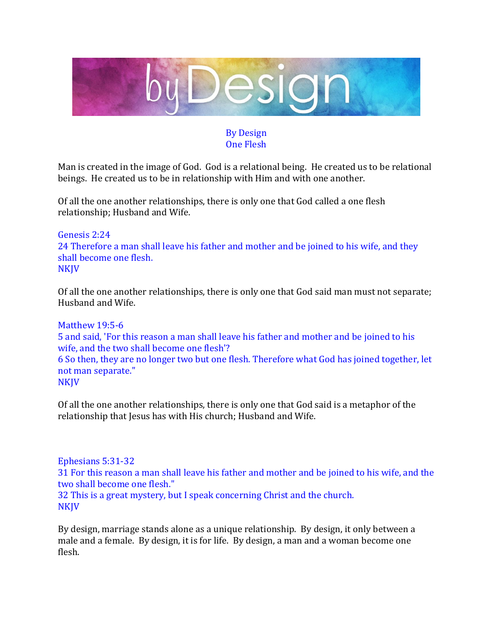

## By Design One Flesh

Man is created in the image of God. God is a relational being. He created us to be relational beings. He created us to be in relationship with Him and with one another.

Of all the one another relationships, there is only one that God called a one flesh relationship; Husband and Wife.

## Genesis 2:24 24 Therefore a man shall leave his father and mother and be joined to his wife, and they shall become one flesh. **NKJV**

Of all the one another relationships, there is only one that God said man must not separate; Husband and Wife.

Matthew 19:5-6 5 and said, 'For this reason a man shall leave his father and mother and be joined to his wife, and the two shall become one flesh'? 6 So then, they are no longer two but one flesh. Therefore what God has joined together, let not man separate." NKJV

Of all the one another relationships, there is only one that God said is a metaphor of the relationship that Jesus has with His church; Husband and Wife.

Ephesians 5:31-32 31 For this reason a man shall leave his father and mother and be joined to his wife, and the two shall become one flesh." 32 This is a great mystery, but I speak concerning Christ and the church. **NKJV** 

By design, marriage stands alone as a unique relationship. By design, it only between a male and a female. By design, it is for life. By design, a man and a woman become one flesh.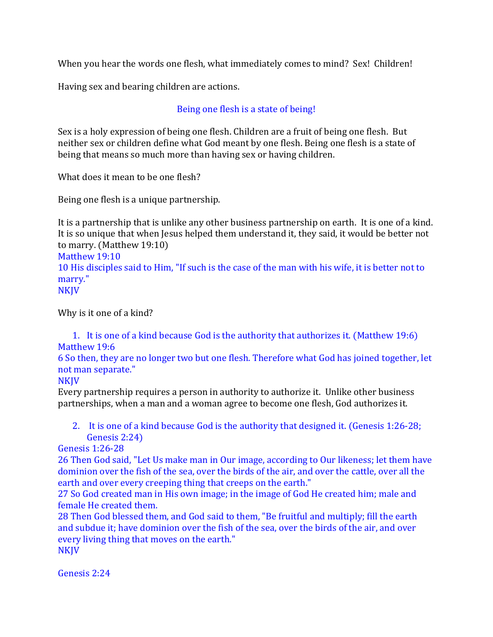When you hear the words one flesh, what immediately comes to mind? Sex! Children!

Having sex and bearing children are actions.

# Being one flesh is a state of being!

Sex is a holy expression of being one flesh. Children are a fruit of being one flesh. But neither sex or children define what God meant by one flesh. Being one flesh is a state of being that means so much more than having sex or having children.

What does it mean to be one flesh?

Being one flesh is a unique partnership.

It is a partnership that is unlike any other business partnership on earth. It is one of a kind. It is so unique that when Jesus helped them understand it, they said, it would be better not to marry. (Matthew 19:10) Matthew 19:10

10 His disciples said to Him, "If such is the case of the man with his wife, it is better not to marry." **NKJV** 

Why is it one of a kind?

1. It is one of a kind because God is the authority that authorizes it. (Matthew 19:6) Matthew 19:6

6 So then, they are no longer two but one flesh. Therefore what God has joined together, let not man separate."

NKJV

Every partnership requires a person in authority to authorize it. Unlike other business partnerships, when a man and a woman agree to become one flesh, God authorizes it.

2. It is one of a kind because God is the authority that designed it. (Genesis 1:26-28; Genesis 2:24)

Genesis 1:26-28

26 Then God said, "Let Us make man in Our image, according to Our likeness; let them have dominion over the fish of the sea, over the birds of the air, and over the cattle, over all the earth and over every creeping thing that creeps on the earth."

27 So God created man in His own image; in the image of God He created him; male and female He created them.

28 Then God blessed them, and God said to them, "Be fruitful and multiply; fill the earth and subdue it; have dominion over the fish of the sea, over the birds of the air, and over every living thing that moves on the earth."

**NKJV** 

Genesis 2:24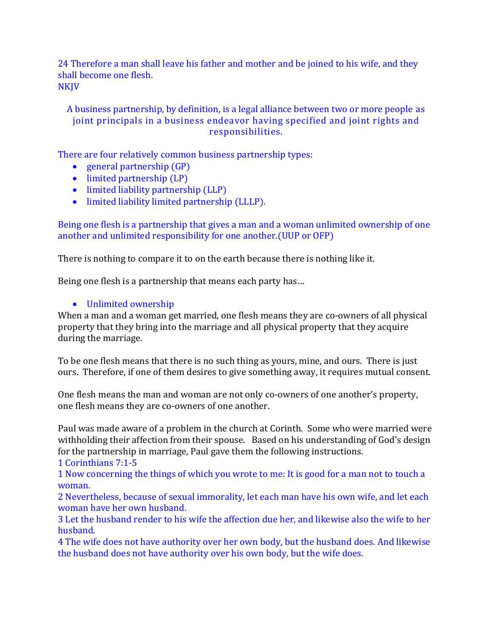24 Therefore a man shall leave his father and mother and be joined to his wife, and they shall become one flesh. NKJV

A business partnership, by definition, is a legal alliance between two or more people as joint principals in a business endeavor having specified and joint rights and responsibilities.

There are four relatively common business partnership types:

- general partnership (GP)
- [limited partnership \(LP\)](https://www.bizfilings.com/limited-partnership.aspx)
- [limited liability partnership \(LLP\)](https://www.bizfilings.com/limited-liability-partnership.aspx)
- limited liability limited partnership (LLLP).

Being one flesh is a partnership that gives a man and a woman unlimited ownership of one another and unlimited responsibility for one another.(UUP or OFP)

There is nothing to compare it to on the earth because there is nothing like it.

Being one flesh is a partnership that means each party has…

#### • Unlimited ownership

When a man and a woman get married, one flesh means they are co-owners of all physical property that they bring into the marriage and all physical property that they acquire during the marriage.

To be one flesh means that there is no such thing as yours, mine, and ours. There is just ours. Therefore, if one of them desires to give something away, it requires mutual consent.

One flesh means the man and woman are not only co-owners of one another's property, one flesh means they are co-owners of one another.

Paul was made aware of a problem in the church at Corinth. Some who were married were withholding their affection from their spouse. Based on his understanding of God's design for the partnership in marriage, Paul gave them the following instructions. 1 Corinthians 7:1-5

1 Now concerning the things of which you wrote to me: It is good for a man not to touch a woman.

2 Nevertheless, because of sexual immorality, let each man have his own wife, and let each woman have her own husband.

3 Let the husband render to his wife the affection due her, and likewise also the wife to her husband.

4 The wife does not have authority over her own body, but the husband does. And likewise the husband does not have authority over his own body, but the wife does.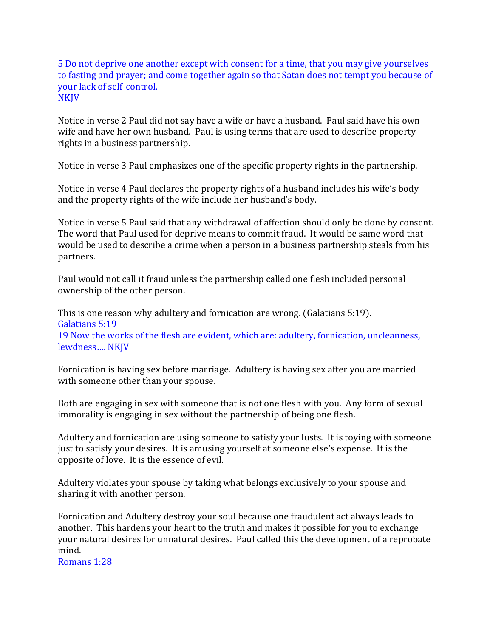5 Do not deprive one another except with consent for a time, that you may give yourselves to fasting and prayer; and come together again so that Satan does not tempt you because of your lack of self-control. NKJV

Notice in verse 2 Paul did not say have a wife or have a husband. Paul said have his own wife and have her own husband. Paul is using terms that are used to describe property rights in a business partnership.

Notice in verse 3 Paul emphasizes one of the specific property rights in the partnership.

Notice in verse 4 Paul declares the property rights of a husband includes his wife's body and the property rights of the wife include her husband's body.

Notice in verse 5 Paul said that any withdrawal of affection should only be done by consent. The word that Paul used for deprive means to commit fraud. It would be same word that would be used to describe a crime when a person in a business partnership steals from his partners.

Paul would not call it fraud unless the partnership called one flesh included personal ownership of the other person.

This is one reason why adultery and fornication are wrong. (Galatians 5:19). Galatians 5:19 19 Now the works of the flesh are evident, which are: adultery, fornication, uncleanness, lewdness…. NKJV

Fornication is having sex before marriage. Adultery is having sex after you are married with someone other than your spouse.

Both are engaging in sex with someone that is not one flesh with you. Any form of sexual immorality is engaging in sex without the partnership of being one flesh.

Adultery and fornication are using someone to satisfy your lusts. It is toying with someone just to satisfy your desires. It is amusing yourself at someone else's expense. It is the opposite of love. It is the essence of evil.

Adultery violates your spouse by taking what belongs exclusively to your spouse and sharing it with another person.

Fornication and Adultery destroy your soul because one fraudulent act always leads to another. This hardens your heart to the truth and makes it possible for you to exchange your natural desires for unnatural desires. Paul called this the development of a reprobate mind.

Romans 1:28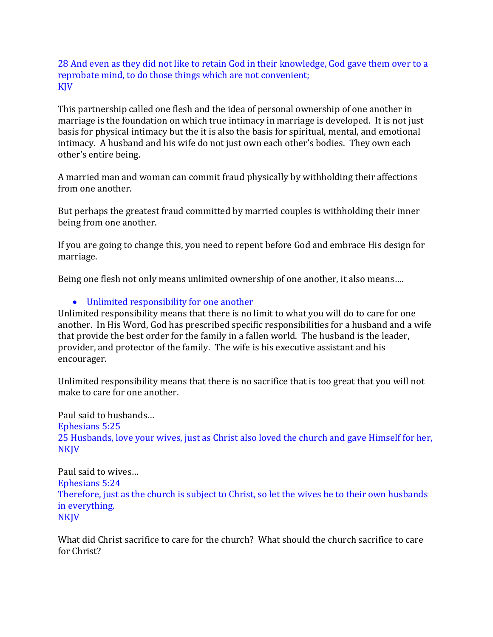28 And even as they did not like to retain God in their knowledge, God gave them over to a reprobate mind, to do those things which are not convenient; KJV

This partnership called one flesh and the idea of personal ownership of one another in marriage is the foundation on which true intimacy in marriage is developed. It is not just basis for physical intimacy but the it is also the basis for spiritual, mental, and emotional intimacy. A husband and his wife do not just own each other's bodies. They own each other's entire being.

A married man and woman can commit fraud physically by withholding their affections from one another.

But perhaps the greatest fraud committed by married couples is withholding their inner being from one another.

If you are going to change this, you need to repent before God and embrace His design for marriage.

Being one flesh not only means unlimited ownership of one another, it also means….

• Unlimited responsibility for one another

Unlimited responsibility means that there is no limit to what you will do to care for one another. In His Word, God has prescribed specific responsibilities for a husband and a wife that provide the best order for the family in a fallen world. The husband is the leader, provider, and protector of the family. The wife is his executive assistant and his encourager.

Unlimited responsibility means that there is no sacrifice that is too great that you will not make to care for one another.

Paul said to husbands… Ephesians 5:25 25 Husbands, love your wives, just as Christ also loved the church and gave Himself for her, NKJV

Paul said to wives… Ephesians 5:24 Therefore, just as the church is subject to Christ, so let the wives be to their own husbands in everything. **NKJV** 

What did Christ sacrifice to care for the church? What should the church sacrifice to care for Christ?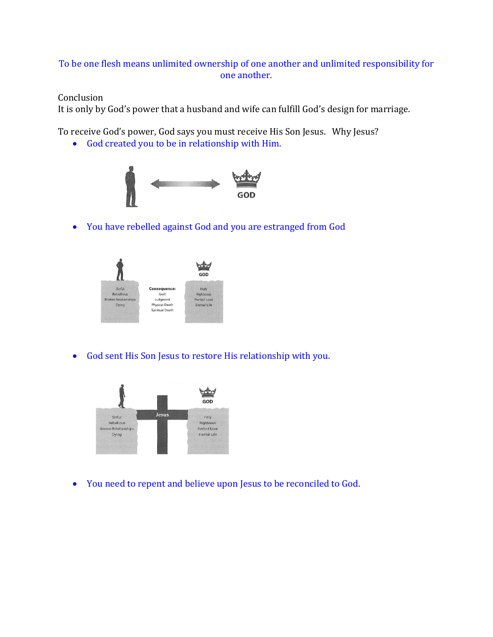## To be one flesh means unlimited ownership of one another and unlimited responsibility for one another.

### Conclusion

It is only by God's power that a husband and wife can fulfill God's design for marriage.

To receive God's power, God says you must receive His Son Jesus. Why Jesus?

• God created you to be in relationship with Him.



• You have rebelled against God and you are estranged from God



• God sent His Son Jesus to restore His relationship with you.



• You need to repent and believe upon Jesus to be reconciled to God.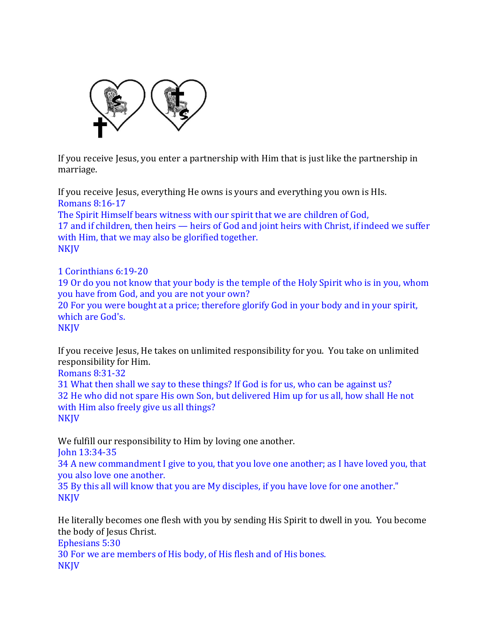

If you receive Jesus, you enter a partnership with Him that is just like the partnership in marriage.

If you receive Jesus, everything He owns is yours and everything you own is HIs. Romans 8:16-17 The Spirit Himself bears witness with our spirit that we are children of God, 17 and if children, then heirs — heirs of God and joint heirs with Christ, if indeed we suffer with Him, that we may also be glorified together. NKJV

1 Corinthians 6:19-20 19 Or do you not know that your body is the temple of the Holy Spirit who is in you, whom you have from God, and you are not your own? 20 For you were bought at a price; therefore glorify God in your body and in your spirit, which are God's. **NKJV** 

If you receive Jesus, He takes on unlimited responsibility for you. You take on unlimited responsibility for Him.

Romans 8:31-32

31 What then shall we say to these things? If God is for us, who can be against us? 32 He who did not spare His own Son, but delivered Him up for us all, how shall He not with Him also freely give us all things? NKJV

We fulfill our responsibility to Him by loving one another.

John 13:34-35

34 A new commandment I give to you, that you love one another; as I have loved you, that you also love one another.

35 By this all will know that you are My disciples, if you have love for one another." **NKJV** 

He literally becomes one flesh with you by sending His Spirit to dwell in you. You become the body of Jesus Christ.

Ephesians 5:30

30 For we are members of His body, of His flesh and of His bones. **NKJV**